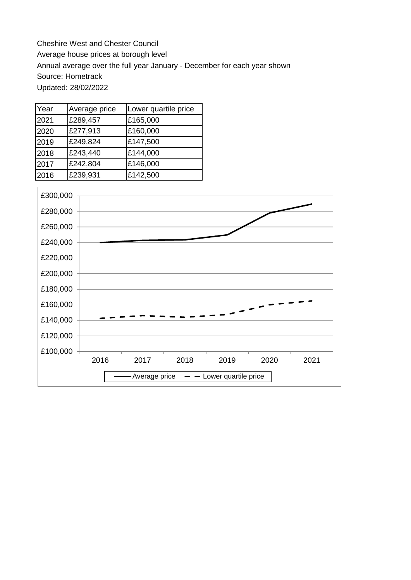Cheshire West and Chester Council Average house prices at borough level Annual average over the full year January - December for each year shown Source: Hometrack Updated: 28/02/2022

| Year | Average price | Lower quartile price |
|------|---------------|----------------------|
| 2021 | £289,457      | £165,000             |
| 2020 | £277,913      | £160,000             |
| 2019 | £249,824      | £147,500             |
| 2018 | £243,440      | £144,000             |
| 2017 | £242,804      | £146,000             |
| 2016 | £239,931      | £142,500             |

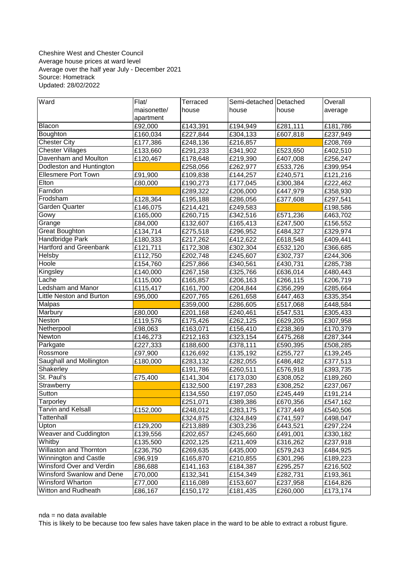## Cheshire West and Chester Council Average house prices at ward level Average over the half year July - December 2021 Source: Hometrack Updated: 28/02/2022

| Ward                          | Flat/       | Terraced | Semi-detached Detached |          | Overall  |
|-------------------------------|-------------|----------|------------------------|----------|----------|
|                               | maisonette/ | house    | house                  | house    | average  |
|                               | apartment   |          |                        |          |          |
| Blacon                        | £92,000     | £143,391 | £194,949               | £281,111 | £181,786 |
| Boughton                      | £160,034    | £227,844 | £304,133               | £607,818 | £237,949 |
| <b>Chester City</b>           | £177,386    | £248,136 | £216,857               |          | £208,769 |
| <b>Chester Villages</b>       | £133,660    | £291,233 | £341,902               | £523,650 | £402,510 |
| Davenham and Moulton          | £120,467    | £178,648 | £219,390               | £407,008 | £256,247 |
| Dodleston and Huntington      |             | £258,056 | £262,977               | £533,726 | £399,954 |
| Ellesmere Port Town           | £91,900     | £109,838 | £144,257               | £240,571 | £121,216 |
| Elton                         | £80,000     | £190,273 | £177,045               | £300,384 | £222,462 |
| Farndon                       |             | £289,322 | £206,000               | £447,979 | £358,930 |
| Frodsham                      | £128,364    | £195,188 | £286,056               | £377,608 | £297,541 |
| Garden Quarter                | £146,075    | £214,421 | £249,583               |          | £198,586 |
| Gowy                          | £165,000    | £260,715 | £342,516               | £571,236 | £463,702 |
| Grange                        | £84,000     | £132,607 | £165,413               | £247,500 | £156,552 |
| <b>Great Boughton</b>         | £134,714    | £275,518 | £296,952               | £484,327 | £329,974 |
| Handbridge Park               | £180,333    | £217,262 | £412,622               | £618,548 | £409,441 |
| <b>Hartford and Greenbank</b> | £121,711    | £172,308 | £302,304               | £532,120 | £366,685 |
| Helsby                        | £112,750    | £202,748 | £245,607               | £302,737 | £244,306 |
| Hoole                         | £154,760    | £257,866 | £340,561               | £430,731 | £285,738 |
| Kingsley                      | £140,000    | £267,158 | £325,766               | £636,014 | £480,443 |
| Lache                         | £115,000    | £165,857 | £206,163               | £266,115 | £206,719 |
| <b>Ledsham and Manor</b>      | £115,417    | £161,700 | £204,844               | £356,299 | £285,664 |
| Little Neston and Burton      | £95,000     | £207,765 | £261,658               | £447,463 | £335,354 |
| Malpas                        |             | £359,000 | £286,605               | £517,068 | £448,584 |
| Marbury                       | £80,000     | £201,168 | £240,461               | £547,531 | £305,433 |
| Neston                        | £119,576    | £175,426 | £262,125               | £629,205 | £307,958 |
| Netherpool                    | £98,063     | £163,071 | £156,410               | £238,369 | £170,379 |
| Newton                        | £146,273    | £212,163 | £323,154               | £475,268 | £287,344 |
| Parkgate                      | £227,333    | £188,600 | £378,111               | £590,395 | £508,285 |
| Rossmore                      | £97,900     | £126,692 | £135,192               | £255,727 | £139,245 |
| Saughall and Mollington       | £180,000    | £283,132 | £282,055               | £486,482 | £377,513 |
| Shakerley                     |             | £191,786 | £260,511               | £576,918 | £393,735 |
| St. Paul's                    | £75,400     | £141,304 | £173,030               | £308,052 | £189,260 |
| Strawberry                    |             | £132,500 | £197,283               | £308,252 | £237,067 |
| Sutton                        |             | £134,550 | £197,050               | £245,449 | £191,214 |
| Tarporley                     |             | £251,071 | £389,386               | £670,356 | £547,162 |
| <b>Tarvin and Kelsall</b>     | £152,000    | £248,012 | £283,175               | £737,449 | £540,506 |
| Tattenhall                    |             | £324,875 | £324,849               | £741,597 | £498,047 |
| Upton                         | £129,200    | £213,889 | £303,236               | £443,521 | £297,224 |
| <b>Weaver and Cuddington</b>  | £139,556    | £202,657 | £245,660               | £491,001 | £330,182 |
| Whitby                        | £135,500    | £202,125 | £211,409               | £316,262 | £237,918 |
| Willaston and Thornton        | £236,750    | £269,635 | £435,000               | £579,243 | £484,925 |
| Winnington and Castle         | £96,919     | £165,870 | £210,855               | £301,296 | £189,223 |
| Winsford Over and Verdin      | £86,688     | £141,163 | £184,387               | £295,257 | £216,502 |
| Winsford Swanlow and Dene     | £70,000     | £132,341 | £154,349               | £282,731 | £193,361 |
| Winsford Wharton              | £77,000     | £116,089 | £153,607               | £237,958 | £164,826 |
| Witton and Rudheath           | £86,167     | £150,172 | £181,435               | £260,000 | £173,174 |

# nda = no data available

This is likely to be because too few sales have taken place in the ward to be able to extract a robust figure.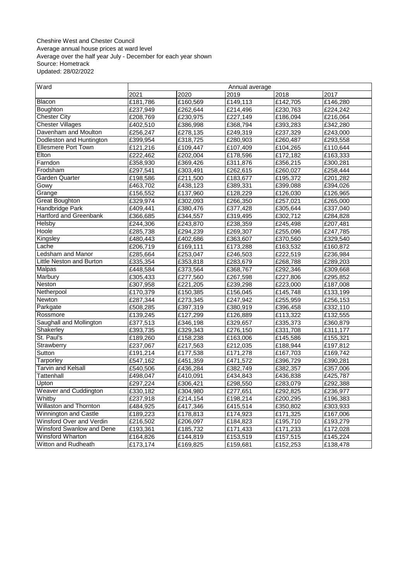#### Cheshire West and Chester Council Average annual house prices at ward level Average over the half year July - December for each year shown Source: Hometrack Updated: 28/02/2022

| Ward                         | Annual average |                               |          |          |          |  |
|------------------------------|----------------|-------------------------------|----------|----------|----------|--|
|                              | 2021           | 2020                          | 2019     | 2018     | 2017     |  |
| Blacon                       | £181,786       | $\overline{\text{£}}$ 160,569 | £149,113 | £142,705 | £146,280 |  |
| Boughton                     | £237,949       | £262,644                      | £214,496 | £230,763 | £224,242 |  |
| <b>Chester City</b>          | £208,769       | £230,975                      | £227,149 | £186,094 | £216,064 |  |
| <b>Chester Villages</b>      | £402,510       | £386,998                      | £368,794 | £393,283 | £342,280 |  |
| Davenham and Moulton         | £256,247       | £278,135                      | £249,319 | £237,329 | £243,000 |  |
| Dodleston and Huntington     | £399,954       | £318,725                      | £280,903 | £260,487 | £293,558 |  |
| <b>Ellesmere Port Town</b>   | £121,216       | £109,447                      | £107,409 | £104,265 | £110,644 |  |
| Elton                        | £222,462       | £202,004                      | £178,596 | £172,182 | £163,333 |  |
| Farndon                      | £358,930       | £369,426                      | £311,876 | £356,215 | £300,281 |  |
| Frodsham                     | £297,541       | £303,491                      | £262,615 | £260,027 | £258,444 |  |
| <b>Garden Quarter</b>        | £198,586       | £211,500                      | £183,677 | £195,372 | £201,282 |  |
| Gowy                         | £463,702       | £438,123                      | £389,331 | £399,088 | £394,026 |  |
| Grange                       | £156,552       | £137,960                      | £128,229 | £126,030 | £126,965 |  |
| <b>Great Boughton</b>        | £329,974       | £302,093                      | £266,350 | £257,021 | £265,000 |  |
| Handbridge Park              | £409,441       | £380,476                      | £377,428 | £305,644 | £337,040 |  |
| Hartford and Greenbank       | £366,685       | £344,557                      | £319,495 | £302,712 | £284,828 |  |
| Helsby                       | £244,306       | £243,870                      | £238,359 | £245,498 | £207,481 |  |
| Hoole                        | £285,738       | £294,239                      | £269,307 | £255,096 | £247,785 |  |
| Kingsley                     | £480,443       | £402,686                      | £363,607 | £370,560 | £329,540 |  |
| Lache                        | £206,719       | £169,111                      | £173,288 | £163,532 | £160,872 |  |
| Ledsham and Manor            | £285,664       | £253,047                      | £246,503 | £222,519 | £236,984 |  |
| Little Neston and Burton     | £335,354       | £353,818                      | £283,679 | £268,788 | £289,203 |  |
| Malpas                       | £448,584       | £373,564                      | £368,767 | £292,346 | £309,668 |  |
| Marbury                      | £305,433       | £277,560                      | £267,598 | £227,806 | £295,852 |  |
| Neston                       | £307,958       | £221,205                      | £239,298 | £223,000 | £187,008 |  |
| Netherpool                   | £170,379       | £150,385                      | £156,045 | £145,748 | £133,199 |  |
| Newton                       | £287,344       | £273,345                      | £247,942 | £255,959 | £256,153 |  |
| Parkgate                     | £508,285       | £397,319                      | £380,919 | £396,458 | £332,110 |  |
| Rossmore                     | £139,245       | £127,299                      | £126,889 | £113,322 | £132,555 |  |
| Saughall and Mollington      | £377,513       | £346,198                      | £329,657 | £335,373 | £360,879 |  |
| Shakerley                    | £393,735       | £329,343                      | £276,150 | £331,708 | £311,177 |  |
| St. Paul's                   | £189,260       | £158,238                      | £163,006 | £145,586 | £155,321 |  |
| Strawberry                   | £237,067       | £217,563                      | £212,035 | £188,944 | £197,812 |  |
| Sutton                       | £191,214       | £177,538                      | £171,278 | £167,703 | £169,742 |  |
| Tarporley                    | £547,162       | £451,359                      | £471,572 | £396,729 | £390,281 |  |
| <b>Tarvin and Kelsall</b>    | £540,506       | £436,284                      | £382,749 | £382,357 | £357,006 |  |
| <b>Tattenhall</b>            | £498,047       | £410,091                      | £434,843 | £436,838 | £425,787 |  |
| Upton                        | £297,224       | £306,421                      | £298,550 | £283,079 | £292,388 |  |
| <b>Weaver and Cuddington</b> | £330.182       | £304,980                      | £277,651 | £292,825 | £236,977 |  |
| Whitby                       | £237,918       | £214,154                      | £198,214 | £200,295 | £196,383 |  |
| Willaston and Thornton       | £484,925       | £417,346                      | £415,514 | £350,802 | £303,933 |  |
| <b>Winnington and Castle</b> | £189,223       | £178,813                      | £174,923 | £171,325 | £167,006 |  |
| Winsford Over and Verdin     | £216,502       | £206,097                      | £184,823 | £195,710 | £193,279 |  |
| Winsford Swanlow and Dene    | £193,361       | £185,732                      | £171,433 | £171,233 | £172,028 |  |
| <b>Winsford Wharton</b>      | £164,826       | £144,819                      | £153,519 | £157,515 | £145,224 |  |
| Witton and Rudheath          | £173,174       | £169,825                      | £159,681 | £152,253 | £138,478 |  |
|                              |                |                               |          |          |          |  |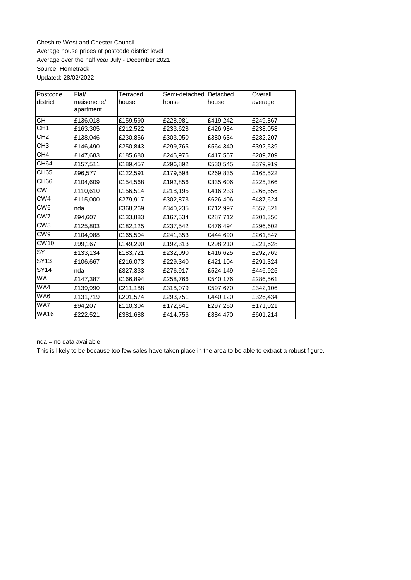Cheshire West and Chester Council Average house prices at postcode district level Average over the half year July - December 2021 Source: Hometrack Updated: 28/02/2022

| Postcode        | Flat/       | Terraced | Semi-detached | Detached | Overall  |
|-----------------|-------------|----------|---------------|----------|----------|
| district        | maisonette/ | house    | house         | house    | average  |
|                 | apartment   |          |               |          |          |
| СH              | £136,018    | £159,590 | £228,981      | £419,242 | £249,867 |
| CH1             | £163,305    | £212,522 | £233,628      | £426,984 | £238,058 |
| CH <sub>2</sub> | £138,046    | £230,856 | £303,050      | £380,634 | £282,207 |
| CH <sub>3</sub> | £146,490    | £250,843 | £299,765      | £564,340 | £392,539 |
| CH <sub>4</sub> | £147,683    | £185,680 | £245,975      | £417,557 | £289,709 |
| <b>CH64</b>     | £157,511    | £189,457 | £296,892      | £530,545 | £379,919 |
| <b>CH65</b>     | £96,577     | £122,591 | £179,598      | £269,835 | £165,522 |
| CH66            | £104,609    | £154,568 | £192,856      | £335,606 | £225,366 |
| <b>CW</b>       | £110,610    | £156,514 | £218,195      | £416,233 | £266,556 |
| CW4             | £115,000    | £279,917 | £302,873      | £626,406 | £487,624 |
| CW <sub>6</sub> | nda         | £368,269 | £340,235      | £712,997 | £557,821 |
| CW7             | £94,607     | £133,883 | £167,534      | £287,712 | £201,350 |
| CW <sub>8</sub> | £125,803    | £182,125 | £237,542      | £476,494 | £296,602 |
| CW <sub>9</sub> | £104,988    | £165,504 | £241,353      | £444,690 | £261,847 |
| <b>CW10</b>     | £99,167     | £149,290 | £192,313      | £298,210 | £221,628 |
| SY              | £133,134    | £183,721 | £232,090      | £416,625 | £292,769 |
| <b>SY13</b>     | £106,667    | £216,073 | £229,340      | £421,104 | £291,324 |
| <b>SY14</b>     | nda         | £327,333 | £276,917      | £524,149 | £446,925 |
| WA              | £147,387    | £166,894 | £258,766      | £540,176 | £286,561 |
| WA4             | £139,990    | £211,188 | £318,079      | £597,670 | £342,106 |
| WA6             | £131,719    | £201,574 | £293,751      | £440,120 | £326,434 |
| WA7             | £94,207     | £110,304 | £172,641      | £297,260 | £171,021 |
| <b>WA16</b>     | £222,521    | £381,688 | £414,756      | £884,470 | £601,214 |

nda = no data available

This is likely to be because too few sales have taken place in the area to be able to extract a robust figure.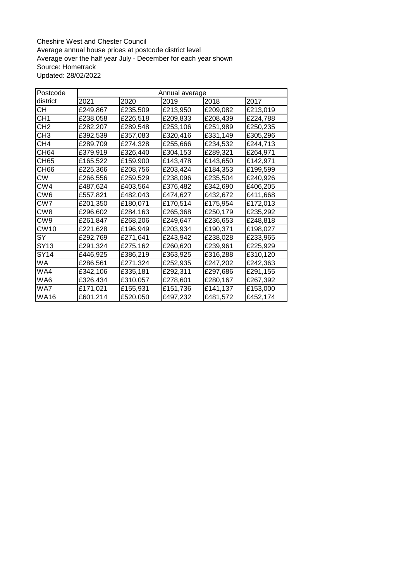Cheshire West and Chester Council Average annual house prices at postcode district level Average over the half year July - December for each year shown Source: Hometrack Updated: 28/02/2022

| Postcode         |          | Annual average |          |          |          |  |  |  |  |  |
|------------------|----------|----------------|----------|----------|----------|--|--|--|--|--|
| district         | 2021     | 2020           | 2019     | 2018     | 2017     |  |  |  |  |  |
| CН               | £249,867 | £235,509       | £213,950 | £209,082 | £213,019 |  |  |  |  |  |
| CH <sub>1</sub>  | £238,058 | £226,518       | £209,833 | £208,439 | £224,788 |  |  |  |  |  |
| CH <sub>2</sub>  | £282,207 | £289,548       | £253,106 | £251,989 | £250,235 |  |  |  |  |  |
| CH3              | £392,539 | £357,083       | £320,416 | £331,149 | £305,296 |  |  |  |  |  |
| CH <sub>4</sub>  | £289,709 | £274,328       | £255,666 | £234,532 | £244,713 |  |  |  |  |  |
| CH64             | £379,919 | £326,440       | £304,153 | £289,321 | £264,971 |  |  |  |  |  |
| <b>CH65</b>      | £165,522 | £159,900       | £143,478 | £143,650 | £142,971 |  |  |  |  |  |
| CH66             | £225,366 | £208,756       | £203,424 | £184,353 | £199,599 |  |  |  |  |  |
| <b>CW</b>        | £266,556 | £259,529       | £238,096 | £235,504 | £240,926 |  |  |  |  |  |
| CW4              | £487,624 | £403,564       | £376,482 | £342,690 | £406,205 |  |  |  |  |  |
| CW <sub>6</sub>  | £557,821 | £482,043       | £474,627 | £432,672 | £411,668 |  |  |  |  |  |
| CW7              | £201,350 | £180,071       | £170,514 | £175,954 | £172,013 |  |  |  |  |  |
| CW <sub>8</sub>  | £296,602 | £284,163       | £265,368 | £250,179 | £235,292 |  |  |  |  |  |
| CW9              | £261,847 | £268,206       | £249,647 | £236,653 | £248,818 |  |  |  |  |  |
| CW <sub>10</sub> | £221,628 | £196,949       | £203,934 | £190,371 | £198,027 |  |  |  |  |  |
| SY               | £292,769 | £271,641       | £243,942 | £238,028 | £233,965 |  |  |  |  |  |
| SY13             | £291,324 | £275,162       | £260,620 | £239,961 | £225,929 |  |  |  |  |  |
| SY14             | £446,925 | £386,219       | £363,925 | £316,288 | £310,120 |  |  |  |  |  |
| WA               | £286,561 | £271,324       | £252,935 | £247,202 | £242,363 |  |  |  |  |  |
| WA4              | £342,106 | £335,181       | £292,311 | £297,686 | £291,155 |  |  |  |  |  |
| WA6              | £326,434 | £310,057       | £278,601 | £280,167 | £267,392 |  |  |  |  |  |
| WA7              | £171,021 | £155,931       | £151,736 | £141,137 | £153,000 |  |  |  |  |  |
| <b>WA16</b>      | £601,214 | £520,050       | £497,232 | £481,572 | £452,174 |  |  |  |  |  |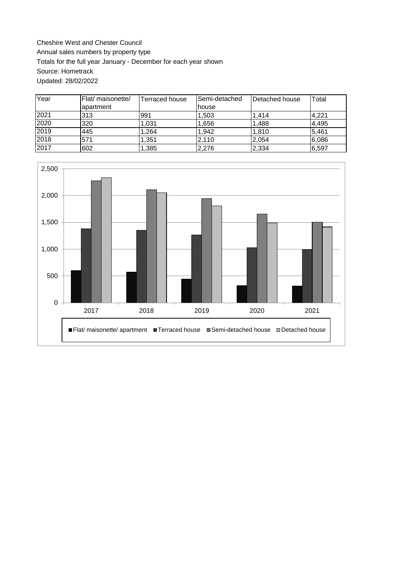Cheshire West and Chester Council Annual sales numbers by property type Totals for the full year January - December for each year shown Source: Hometrack Updated: 28/02/2022

| Year | Flat/ maisonette/ | Terraced house | lSemi-detached | lDetached house | Total |
|------|-------------------|----------------|----------------|-----------------|-------|
|      | apartment         |                | <b>house</b>   |                 |       |
| 2021 | 313               | 991            | 1,503          | 1.414           | 4,221 |
| 2020 | 320               | 1,031          | 1,656          | 1.488           | 4,495 |
| 2019 | 445               | .264           | 1.942          | 1.810           | 5.461 |
| 2018 | 571               | ,351           | 2,110          | 2,054           | 6,086 |
| 2017 | 602               | 1,385          | 2,276          | 2,334           | 6,597 |

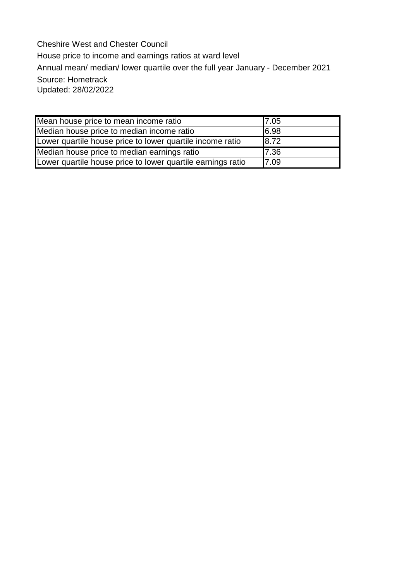Cheshire West and Chester Council House price to income and earnings ratios at ward level Annual mean/ median/ lower quartile over the full year January - December 2021 Source: Hometrack Updated: 28/02/2022

| Mean house price to mean income ratio                       | 17.05 |
|-------------------------------------------------------------|-------|
| Median house price to median income ratio                   | 6.98  |
| Lower quartile house price to lower quartile income ratio   | 8.72  |
| Median house price to median earnings ratio                 | 7.36  |
| Lower quartile house price to lower quartile earnings ratio | 7.09  |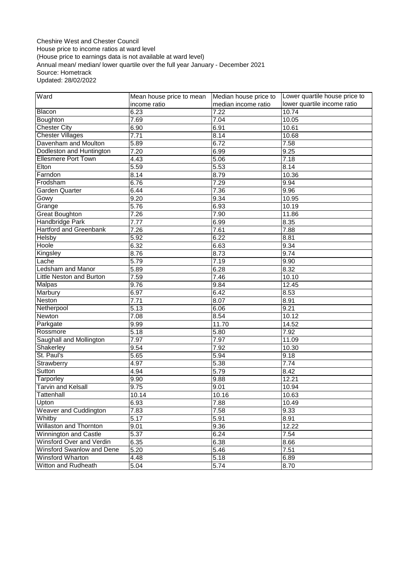Cheshire West and Chester Council House price to income ratios at ward level (House price to earnings data is not available at ward level) Annual mean/ median/ lower quartile over the full year January - December 2021 Source: Hometrack Updated: 28/02/2022

| Ward                            | Mean house price to mean | Median house price to | Lower quartile house price to |  |
|---------------------------------|--------------------------|-----------------------|-------------------------------|--|
|                                 | income ratio             | median income ratio   | lower quartile income ratio   |  |
| Blacon                          | 6.23                     | 7.22                  | 10.74                         |  |
| Boughton                        | 7.69                     | 7.04                  | 10.05                         |  |
| <b>Chester City</b>             | 6.90                     | 6.91                  | 10.61                         |  |
| <b>Chester Villages</b>         | 7.71                     | 8.14                  | 10.68                         |  |
| Davenham and Moulton            | 5.89                     | 6.72                  | 7.58                          |  |
| Dodleston and Huntington        | 7.20                     | 6.99                  | 9.25                          |  |
| <b>Ellesmere Port Town</b>      | 4.43                     | 5.06                  | 7.18                          |  |
| Elton                           | 5.59                     | 5.53                  | 8.14                          |  |
| Farndon                         | 8.14                     | 8.79                  | 10.36                         |  |
| Frodsham                        | 6.76                     | 7.29                  | 9.94                          |  |
| Garden Quarter                  | 6.44                     | 7.36                  | 9.96                          |  |
| Gowy                            | 9.20                     | 9.34                  | $\overline{10.95}$            |  |
| Grange                          | 5.76                     | 6.93                  | 10.19                         |  |
| <b>Great Boughton</b>           | 7.26                     | 7.90                  | 11.86                         |  |
| <b>Handbridge Park</b>          | 7.77                     | 6.99                  | 8.35                          |  |
| <b>Hartford and Greenbank</b>   | 7.26                     | 7.61                  | 7.88                          |  |
| Helsby                          | 5.92                     | 6.22                  | 8.81                          |  |
| Hoole                           | 6.32                     | 6.63                  | 9.34                          |  |
| Kingsley                        | 8.76                     | 8.73                  | 9.74                          |  |
| Lache                           | 5.79                     | 7.19                  | 9.90                          |  |
| Ledsham and Manor               | 5.89                     | 6.28                  | 8.32                          |  |
| <b>Little Neston and Burton</b> | 7.59                     | 7.46                  | 10.10                         |  |
| Malpas                          | 9.76                     | 9.84                  | 12.45                         |  |
| Marbury                         | 6.97                     | 6.42                  | 8.53                          |  |
| Neston                          | 7.71                     | 8.07                  | 8.91                          |  |
| Netherpool                      | 5.13                     | 6.06                  | 9.21                          |  |
| Newton                          | 7.08                     | 8.54                  | 10.12                         |  |
| Parkgate                        | 9.99                     | 11.70                 | 14.52                         |  |
| Rossmore                        | 5.18                     | 5.80                  | 7.92                          |  |
| Saughall and Mollington         | 7.97                     | 7.97                  | 11.09                         |  |
| Shakerley                       | 9.54                     | 7.92                  | 10.30                         |  |
| St. Paul's                      | 5.65                     | 5.94                  | 9.18                          |  |
| Strawberry                      | 4.97                     | 5.38                  | 7.74                          |  |
| Sutton                          | 4.94                     | 5.79                  | 8.42                          |  |
| <b>Tarporley</b>                | 9.90                     | 9.88                  | 12.21                         |  |
| <b>Tarvin and Kelsall</b>       | 9.75                     | 9.01                  | 10.94                         |  |
| Tattenhall                      | 10.14                    | 10.16                 | 10.63                         |  |
| Upton                           | 6.93                     | 7.88                  | 10.49                         |  |
| Weaver and Cuddington           | 7.83                     | 7.58                  | 9.33                          |  |
| Whitby                          | 5.17                     | 5.91                  | 8.91                          |  |
| <b>Willaston and Thornton</b>   | 9.01                     | 9.36                  | 12.22                         |  |
| Winnington and Castle           | 5.37                     | 6.24                  | 7.54                          |  |
| Winsford Over and Verdin        | 6.35                     | 6.38                  | 8.66                          |  |
| Winsford Swanlow and Dene       | 5.20                     | 5.46                  | 7.51                          |  |
| Winsford Wharton                | 4.48                     | 5.18                  | 6.89                          |  |
| Witton and Rudheath             | 5.04                     | 5.74                  | 8.70                          |  |
|                                 |                          |                       |                               |  |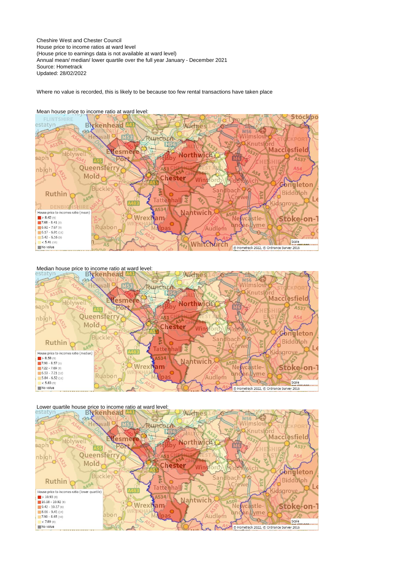Cheshire West and Chester Council House price to income ratios at ward level (House price to earnings data is not available at ward level) Annual mean/ median/ lower quartile over the full year January - December 2021 Source: Hometrack Updated: 28/02/2022

Where no value is recorded, this is likely to be because too few rental transactions have taken place

![](_page_8_Figure_2.jpeg)

Mean house price to income ratio at ward level:

Median house price to income ratio at ward level:<br> **EXKenhead Law Widnes** Vilmsloy **O**Knutsf Macclesfield Vesme Holywell Northwich saph הפ A537 Ê Queensferry nbigh Mold **Chester** Win Congleton Buckley **Telepid** hach Ruthin Biddulph A49A Tattenhall V House price to incomes ratio (median) saro  $\frac{1}{2}$  > 8.58 (9) A534 Nantwic  $7.90 - 8.57(6)$ **Wrex** am stle Stoke-on- $7.22 - 7.89(9)$  $6.53 - 7.21$  (12)<br>5.84 - 6.52 (11) wme Ruabon Audlem

 $< 5.83(9)$ 

No value

![](_page_8_Figure_6.jpeg)

Scale

C Hometrack 2022, C Ordnance Survey 2016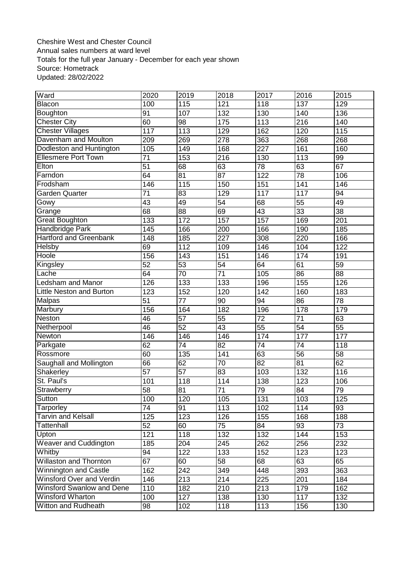# Cheshire West and Chester Council Annual sales numbers at ward level Totals for the full year January - December for each year shown Source: Hometrack Updated: 28/02/2022

| Ward                             | 2020            | 2019            | 2018             | 2017            | 2016             | 2015            |
|----------------------------------|-----------------|-----------------|------------------|-----------------|------------------|-----------------|
| Blacon                           | 100             | 115             | 121              | 118             | 137              | 129             |
| Boughton                         | 91              | 107             | 132              | 130             | 140              | 136             |
| <b>Chester City</b>              | 60              | 98              | 175              | 113             | 216              | 140             |
| <b>Chester Villages</b>          | 117             | 113             | 129              | 162             | 120              | 115             |
| Davenham and Moulton             | $\sqrt{209}$    | 269             | $\overline{278}$ | 363             | 268              | 268             |
| Dodleston and Huntington         | 105             | 149             | 168              | 227             | 161              | 160             |
| <b>Ellesmere Port Town</b>       | $\overline{71}$ | 153             | $\overline{216}$ | 130             | $\overline{113}$ | 99              |
| Elton                            | 51              | 68              | 63               | $\overline{78}$ | 63               | 67              |
| Farndon                          | 64              | 81              | $\overline{87}$  | 122             | $\overline{78}$  | 106             |
| Frodsham                         | 146             | 115             | 150              | 151             | 141              | 146             |
| <b>Garden Quarter</b>            | 71              | 83              | 129              | 117             | 117              | 94              |
| Gowy                             | $\overline{43}$ | 49              | $\overline{54}$  | 68              | $\overline{55}$  | 49              |
| Grange                           | 68              | 88              | 69               | 43              | $\overline{33}$  | $\overline{38}$ |
| <b>Great Boughton</b>            | 133             | 172             | 157              | 157             | 169              | 201             |
| Handbridge Park                  | 145             | 166             | 200              | 166             | 190              | 185             |
| <b>Hartford and Greenbank</b>    | 148             | 185             | 227              | 308             | 220              | 166             |
| Helsby                           | 69              | 112             | 109              | 146             | 104              | 122             |
| Hoole                            | 156             | 143             | 151              | 146             | 174              | 191             |
| Kingsley                         | $\overline{52}$ | $\overline{53}$ | $\overline{54}$  | 64              | 61               | 59              |
| Lache                            | 64              | $\overline{70}$ | $\overline{71}$  | 105             | $\overline{86}$  | $\overline{88}$ |
| <b>Ledsham and Manor</b>         | 126             | 133             | 133              | 196             | 155              | 126             |
| <b>Little Neston and Burton</b>  | 123             | 152             | 120              | 142             | 160              | 183             |
| Malpas                           | 51              | 77              | 90               | 94              | 86               | 78              |
| Marbury                          | 156             | 164             | 182              | 196             | 178              | 179             |
| <b>Neston</b>                    | 46              | 57              | 55               | $\overline{72}$ | 71               | 63              |
| Netherpool                       | 46              | 52              | 43               | $\overline{55}$ | 54               | 55              |
| Newton                           | 146             | 146             | 146              | 174             | 177              | 177             |
| Parkgate                         | 62              | $\overline{74}$ | $\overline{82}$  | $\overline{74}$ | $\overline{74}$  | 118             |
| Rossmore                         | 60              | 135             | 141              | 63              | 56               | 58              |
| Saughall and Mollington          | 66              | 62              | 70               | 82              | 81               | 62              |
| Shakerley                        | $\overline{57}$ | $\overline{57}$ | $\overline{83}$  | 103             | 132              | 116             |
| St. Paul's                       | 101             | 118             | 114              | 138             | 123              | 106             |
| Strawberry                       | $\overline{58}$ | 81              | $\overline{71}$  | $\overline{79}$ | $\overline{84}$  | 79              |
| Sutton                           | 100             | 120             | 105              | 131             | 103              | 125             |
| Tarporley                        | $\overline{74}$ | 91              | 113              | 102             | 114              | 93              |
| <b>Tarvin and Kelsall</b>        | 125             | 123             | $\overline{126}$ | 155             | 168              | 188             |
| Tattenhall                       | 52              | 60              | 75               | 84              | 93               | 73              |
| Upton                            | 121             | 118             | 132              | 132             | 144              | 153             |
| <b>Weaver and Cuddington</b>     | 185             | 204             | 245              | 262             | 256              | 232             |
| Whitby                           | 94              | 122             | 133              | 152             | 123              | 123             |
| <b>Willaston and Thornton</b>    | 67              | 60              | 58               | 68              | 63               | 65              |
| <b>Winnington and Castle</b>     | 162             | 242             | 349              | 448             | 393              | 363             |
| Winsford Over and Verdin         | 146             | 213             | 214              | 225             | 201              | 184             |
| <b>Winsford Swanlow and Dene</b> | 110             | 182             | 210              | 213             | 179              | 162             |
| <b>Winsford Wharton</b>          | 100             | 127             | 138              | 130             | 117              | 132             |
| Witton and Rudheath              | 98              | 102             | 118              | 113             | 156              | 130             |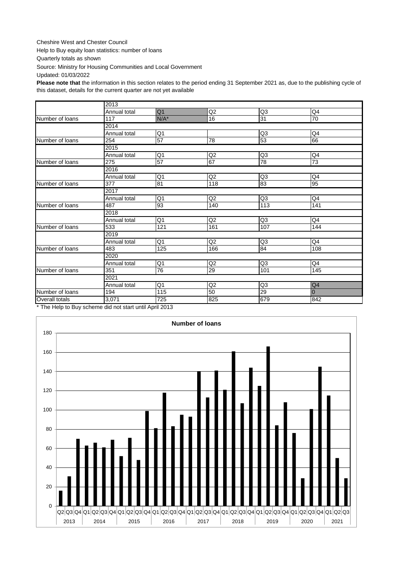#### Cheshire West and Chester Council

Help to Buy equity loan statistics: number of loans

Quarterly totals as shown

Source: Ministry for Housing Communities and Local Government

Updated: 01/03/2022

**Please note that** the information in this section relates to the period ending 31 September 2021 as, due to the publishing cycle of this dataset, details for the current quarter are not yet available

|                                                                  | 2013         |                |                |                 |                |  |  |  |  |  |  |
|------------------------------------------------------------------|--------------|----------------|----------------|-----------------|----------------|--|--|--|--|--|--|
|                                                                  | Annual total | Q <sub>1</sub> | Q2             | Q3              | Q4             |  |  |  |  |  |  |
| Number of loans                                                  | 117          | $N/A^*$        | 16             | $\overline{31}$ | 70             |  |  |  |  |  |  |
|                                                                  | 2014         |                |                |                 |                |  |  |  |  |  |  |
|                                                                  | Annual total | Q <sub>1</sub> |                | Q <sub>3</sub>  | Q4             |  |  |  |  |  |  |
| Number of loans                                                  | 254          | 57             | 78             | 53              | 66             |  |  |  |  |  |  |
|                                                                  | 2015         |                |                |                 |                |  |  |  |  |  |  |
|                                                                  | Annual total | Q <sub>1</sub> | Q <sub>2</sub> | Q3              | Q4             |  |  |  |  |  |  |
| Number of loans                                                  | 275          | 57             | 67             | 78              | 73             |  |  |  |  |  |  |
|                                                                  | 2016         |                |                |                 |                |  |  |  |  |  |  |
|                                                                  | Annual total | Q <sub>1</sub> | Q2             | Q3              | Q4             |  |  |  |  |  |  |
| Number of loans                                                  | 377          | 81             | 118            | 83              | 95             |  |  |  |  |  |  |
|                                                                  | 2017         |                |                |                 |                |  |  |  |  |  |  |
|                                                                  | Annual total | Q <sub>1</sub> | Q2             | Q3              | Q4             |  |  |  |  |  |  |
| Number of loans                                                  | 487          | 93             | 140            | 113             | 141            |  |  |  |  |  |  |
|                                                                  | 2018         |                |                |                 |                |  |  |  |  |  |  |
|                                                                  | Annual total | Q1             | Q2             | Q3              | Q4             |  |  |  |  |  |  |
| Number of loans                                                  | 533          | 121            | 161            | 107             | 144            |  |  |  |  |  |  |
|                                                                  | 2019         |                |                |                 |                |  |  |  |  |  |  |
|                                                                  | Annual total | Q <sub>1</sub> | Q2             | Q3              | Q4             |  |  |  |  |  |  |
| Number of loans                                                  | 483          | 125            | 166            | 84              | 108            |  |  |  |  |  |  |
|                                                                  | 2020         |                |                |                 |                |  |  |  |  |  |  |
|                                                                  | Annual total | Q <sub>1</sub> | Q2             | Q <sub>3</sub>  | Q4             |  |  |  |  |  |  |
| Number of loans                                                  | 351          | 76             | 29             | 101             | 145            |  |  |  |  |  |  |
|                                                                  | 2021         |                |                |                 |                |  |  |  |  |  |  |
|                                                                  | Annual total | Q <sub>1</sub> | Q2             | Q <sub>3</sub>  | Q4             |  |  |  |  |  |  |
| Number of loans                                                  | 194          | 115            | 50             | 29              | $\overline{0}$ |  |  |  |  |  |  |
| Overall totals                                                   | 3,071        | 725            | 825            | 679             | 842            |  |  |  |  |  |  |
| $*$ The Usin to Duve as percentage and motions until April 2043. |              |                |                |                 |                |  |  |  |  |  |  |

The Help to Buy scheme did not start until April 2013

![](_page_10_Figure_8.jpeg)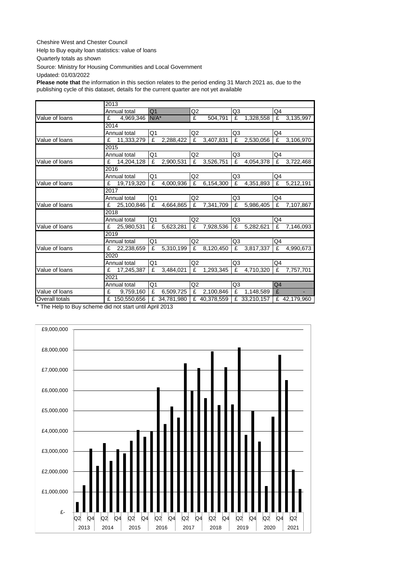### Cheshire West and Chester Council

Help to Buy equity loan statistics: value of loans

Quarterly totals as shown

Source: Ministry for Housing Communities and Local Government

Updated: 01/03/2022

**Please note that** the information in this section relates to the period ending 31 March 2021 as, due to the publishing cycle of this dataset, details for the current quarter are not yet available

|                | 2013 |               |                |              |                |              |                |              |                |              |
|----------------|------|---------------|----------------|--------------|----------------|--------------|----------------|--------------|----------------|--------------|
|                |      | Annual total  | Q <sub>1</sub> |              | Q2             |              | Q3             |              | Q4             |              |
| Value of loans | £    | 4,969,346     | $N/A^*$        |              | £              | 504.791      | £              | 1.328.558    | £              | 3,135,997    |
|                | 2014 |               |                |              |                |              |                |              |                |              |
|                |      | Annual total  | Q1             |              | Q2             |              | Q3             |              | Q4             |              |
| Value of loans | £    | 11,333,279    | £              | 2,288,422    | £              | 3,407,831    | £              | 2,530,056    | £              | 3,106,970    |
|                | 2015 |               |                |              |                |              |                |              |                |              |
|                |      | Annual total  | Q1             |              | Q2             |              | Q3             |              | Q4             |              |
| Value of loans | £    | 14,204,128    | £              | 2,900,531    | £              | 3,526,751    | £              | 4,054,378    | £              | 3,722,468    |
|                | 2016 |               |                |              |                |              |                |              |                |              |
|                |      | Annual total  | Q1             |              | Q2             |              | Q3             |              | Q4             |              |
| Value of loans | £    | 19,719,320    | £              | 4,000,936    | £              | 6,154,300    | £              | 4,351,893    | £              | 5,212,191    |
|                | 2017 |               |                |              |                |              |                |              |                |              |
|                |      | Annual total  | Q <sub>1</sub> |              | Q <sub>2</sub> |              | Q3             |              | Q4             |              |
| Value of loans | £    | 25,100,846    | £              | 4,664,865    | £              | 7,341,709    | £              | 5,986,405    | £              | 7,107,867    |
|                | 2018 |               |                |              |                |              |                |              |                |              |
|                |      | Annual total  | Q <sub>1</sub> |              | Q <sub>2</sub> |              | Q3             |              | Q4             |              |
| Value of loans | £    | 25,980,531    | £              | 5,623,281    | £              | 7,928,536    | £              | 5,282,621    | £              | 7,146,093    |
|                | 2019 |               |                |              |                |              |                |              |                |              |
|                |      | Annual total  | Q <sub>1</sub> |              | Q <sub>2</sub> |              | Q <sub>3</sub> |              | Q4             |              |
| Value of loans | £    | 22,238,659    | £              | 5,310,199    | £              | 8,120,450    | £              | 3,817,337    | £              | 4,990,673    |
|                | 2020 |               |                |              |                |              |                |              |                |              |
|                |      | Annual total  | Q <sub>1</sub> |              | Q2             |              | Q3             |              | Q4             |              |
| Value of loans | £    | 17,245,387    | £              | 3,484,021    | £              | 1,293,345    | £              | 4,710,320    | £              | 7,757,701    |
|                | 2021 |               |                |              |                |              |                |              |                |              |
|                |      | Annual total  | Q <sub>1</sub> |              | Q <sub>2</sub> |              | Q3             |              | Q <sub>4</sub> |              |
| Value of loans | £    | 9,759,160     | £              | 6,509,725    | £              | 2,100,846    | £              | 1,148,589    | £              |              |
| Overall totals |      | £ 150,550,656 |                | £ 34,781,980 |                | £ 40,378,559 |                | £ 33,210,157 |                | £ 42,179,960 |

\* The Help to Buy scheme did not start until April 2013

![](_page_11_Figure_8.jpeg)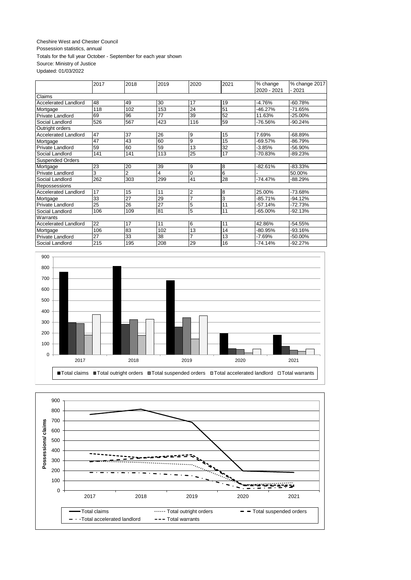### Cheshire West and Chester Council Possession statistics, annual Totals for the full year October - September for each year shown Source: Ministry of Justice

Updated: 01/03/2022

|                             | 2017 | 2018           | 2019 | 2020     | 2021 | % change<br>2020 - 2021 | % change 2017<br>$-2021$ |
|-----------------------------|------|----------------|------|----------|------|-------------------------|--------------------------|
| Claims                      |      |                |      |          |      |                         |                          |
| <b>Accelerated Landlord</b> | 48   | 49             | 30   | 17       | 19   | $-4.76%$                | $-60.78%$                |
| Mortgage                    | 118  | 102            | 153  | 24       | 51   | $-46.27%$               | -71.65%                  |
| Private Landlord            | 69   | 96             | 77   | 39       | 52   | 11.63%                  | -25.00%                  |
| Social Landlord             | 526  | 567            | 423  | 116      | 59   | -76.56%                 | $-90.24%$                |
| Outright orders             |      |                |      |          |      |                         |                          |
| <b>Accelerated Landlord</b> | 47   | 37             | 26   | 9        | 15   | 7.69%                   | -68.89%                  |
| Mortgage                    | 47   | 43             | 60   | 9        | 15   | $-69.57%$               | -86.79%                  |
| Private Landlord            | 59   | 60             | 59   | 13       | 32   | $-3.85%$                | -56.90%                  |
| Social Landlord             | 141  | 141            | 113  | 25       | 17   | -70.83%                 | -89.23%                  |
| <b>Suspended Orders</b>     |      |                |      |          |      |                         |                          |
| Mortgage                    | 23   | 20             | 39   | 9        | 8    | $-82.61%$               | $-83.33\%$               |
| <b>Private Landlord</b>     | 3    | $\overline{2}$ | 4    | $\Omega$ | 6    |                         | 50.00%                   |
| Social Landlord             | 262  | 303            | 299  | 41       | 28   | $-74.47%$               | $-88.29%$                |
| Repossessions               |      |                |      |          |      |                         |                          |
| <b>Accelerated Landlord</b> | 17   | 15             | 11   | 2        | 8    | 25.00%                  | -73.68%                  |
| Mortgage                    | 33   | 27             | 29   | 7        | 3    | $-85.71%$               | $-94.12%$                |
| Private Landlord            | 25   | 26             | 27   | 5        | 11   | $-57.14%$               | $-72.73%$                |
| Social Landlord             | 106  | 109            | 81   | 5        | 11   | $-65.00\%$              | -92.13%                  |
| Warrants                    |      |                |      |          |      |                         |                          |
| <b>Accelerated Landlord</b> | 22   | 17             | 11   | 6        | 11   | 42.86%                  | $-54.55%$                |
| Mortgage                    | 106  | 83             | 102  | 13       | 14   | -80.95%                 | -93.16%                  |
| Private Landlord            | 27   | 33             | 38   | 7        | 13   | $-7.69%$                | -50.00%                  |
| Social Landlord             | 215  | 195            | 208  | 29       | 16   | $-74.14%$               | $-92.27%$                |

![](_page_12_Figure_3.jpeg)

![](_page_12_Figure_4.jpeg)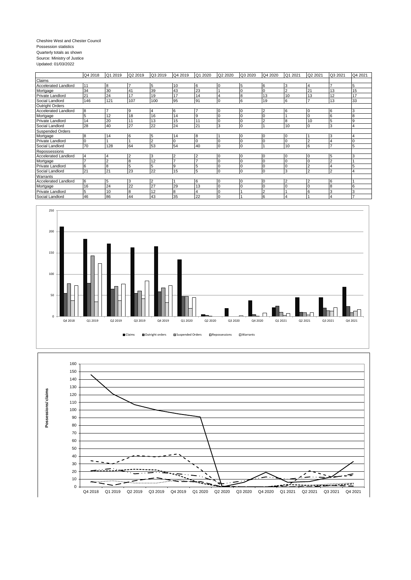#### Cheshire West and Chester Council Possession statistics Quarterly totals as shown Source: Ministry of Justice Updated: 01/03/2022

|                             | Q4 2018        | Q1 2019 | Q2 2019        | Q3 2019        | Q4 2019        | Q1 2020        | Q2 2020      | Q3 2020  | Q4 2020  | Q1 2021        | Q2 2021        | Q3 2021        | Q4 2021        |
|-----------------------------|----------------|---------|----------------|----------------|----------------|----------------|--------------|----------|----------|----------------|----------------|----------------|----------------|
| Claims                      |                |         |                |                |                |                |              |          |          |                |                |                |                |
| Accelerated Landlord        | 11             | 8       |                | 5              | 10             | 6              | 0            | 5        | 6        | 3              | $\overline{4}$ |                | 5              |
| Mortgage                    | 34             | 30      | 41             | 39             | 43             | 23             |              |          |          | $\overline{2}$ | 21             | 13             | 15             |
| Private Landlord            | 21             | 24      | 17             | 19             | 17             | 14             | 4            | 8        | 13       | 10             | 13             | 12             | 17             |
| Social Landlord             | 146            | 121     | 107            | 100            | 95             | 91             | $\Omega$     | 6        | 19       | 6              | -              | 13             | 33             |
| <b>Outright Orders</b>      |                |         |                |                |                |                |              |          |          |                |                |                |                |
| <b>Accelerated Landlord</b> | 8              |         | 9              | 4              | 6              |                | <b>0</b>     | 0        | 2        | 6              | C              | 6              | 3              |
| Mortgage                    | 5              | 12      | 18             | 16             | 14             | 9              |              |          |          |                | C              | 6              | 8              |
| Private Landlord            | 14             | 20      | 11             | 13             | 15             | 11             |              |          | 2        | 8              | 10             | 5              | 9              |
| Social Landlord             | 28             | 40      | 27             | 22             | 24             | 21             | 3            | $\Omega$ |          | 10             | $\Omega$       | 3              |                |
| <b>Suspended Orders</b>     |                |         |                |                |                |                |              |          |          |                |                |                |                |
| Mortgage                    | 8              | 14      | 6              | 5              | 14             | 8              |              |          | I O      | $\overline{0}$ |                | 3              |                |
| Private Landlord            | $\Omega$       |         |                | $\overline{2}$ |                | Ō              |              |          |          | $\Omega$       |                |                |                |
| Social Landlord             | 70             | 128     | 64             | 53             | 54             | 40             | $\Omega$     | $\Omega$ |          | 10             | 6              | $\overline{z}$ | 5              |
| Repossessions               |                |         |                |                |                |                |              |          |          |                |                |                |                |
| Accelerated Landlord        | $\overline{4}$ | 4       | $\overline{c}$ | 3              | $\overline{2}$ | $\overline{c}$ | ١O           |          | $\Omega$ | $\overline{0}$ | C              | 5              | З              |
| Mortgage                    |                | ົ       | 8              | 12             |                |                |              |          | $\Omega$ | $\Omega$       | $\sqrt{ }$     | $\overline{2}$ |                |
| <b>Private Landlord</b>     | 6              | 8       | 5              | 5              | 9              | 5              | $\mathsf{C}$ |          | $\Omega$ | 0              | $\overline{2}$ | 4              | 5              |
| Social Landlord             | 21             | 21      | 23             | 22             | 15             | 5              | $\Omega$     | $\Omega$ | $\Omega$ | 3              | $\mathcal{P}$  | $\overline{2}$ |                |
| Warrants                    |                |         |                |                |                |                |              |          |          |                |                |                |                |
| Accelerated Landlord        | 6              | 5       | 3              | $\overline{2}$ |                | 6              | 0            |          | $\Omega$ | $\overline{2}$ |                | 6              |                |
| Mortgage                    | 16             | 24      | 22             | 27             | 29             | 13             | $\Omega$     | O        |          |                | $\Omega$       | 8              | 6              |
| <b>Private Landlord</b>     | 5              | 10      | 8              | 12             | 8              | 4              | $\Omega$     |          | $\sim$   |                | 6              | l3             | 3              |
| Social Landlord             | 46             | 86      | 44             | 43             | 35             | 22             | 10           |          | 6        | $\overline{4}$ |                | $\overline{4}$ | $\overline{ }$ |

![](_page_13_Figure_2.jpeg)

![](_page_13_Figure_3.jpeg)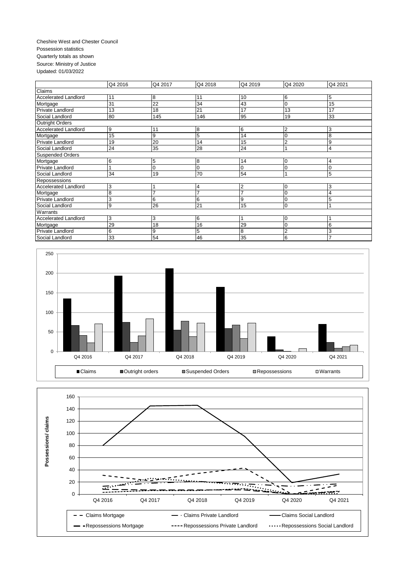#### Cheshire West and Chester Council Possession statistics Quarterly totals as shown Source: Ministry of Justice Updated: 01/03/2022

|                             | Q4 2016 | Q4 2017         | Q4 2018        | Q4 2019         | Q4 2020      | Q4 2021        |  |  |  |
|-----------------------------|---------|-----------------|----------------|-----------------|--------------|----------------|--|--|--|
| Claims                      |         |                 |                |                 |              |                |  |  |  |
| <b>Accelerated Landlord</b> | 11      | 8               | 11             | 10              | 6            | 5              |  |  |  |
| Mortgage                    | 31      | $\overline{22}$ | 34             | 43              | $\Omega$     | 15             |  |  |  |
| Private Landlord            | 13      | 18              | 21             | 17              | 13           | 17             |  |  |  |
| Social Landlord             | 80      | 145             | 146            | 95              | 19           | 33             |  |  |  |
| <b>Outright Orders</b>      |         |                 |                |                 |              |                |  |  |  |
| Accelerated Landlord        | 9       | 11              | 8              | 6               | $^{\prime}2$ | 3              |  |  |  |
| Mortgage                    | 15      | 9               | 5              | 14              | 0            | 8              |  |  |  |
| Private Landlord            | 19      | 20              | 14             | 15              | 2            | 9              |  |  |  |
| Social Landlord             | 24      | 35              | 28             | $\overline{24}$ |              | 4              |  |  |  |
| <b>Suspended Orders</b>     |         |                 |                |                 |              |                |  |  |  |
| Mortgage                    | 6       | 5               | 8              | 14              | 0            | 4              |  |  |  |
| Private Landlord            |         | $\overline{0}$  | 0              | 0               | O            |                |  |  |  |
| Social Landlord             | 34      | 19              | 70             | 54              |              | 5              |  |  |  |
| Repossessions               |         |                 |                |                 |              |                |  |  |  |
| <b>Accelerated Landlord</b> | 3       |                 | 4              | $\overline{2}$  | $\Omega$     | 3              |  |  |  |
| Mortgage                    | 8       | 7               | $\overline{ }$ | 7               | $\Omega$     | 4              |  |  |  |
| Private Landlord            | 3       | 6               | 6              | 9               | 0            | 5              |  |  |  |
| Social Landlord             | 9       | 26              | 21             | 15              | $\Omega$     |                |  |  |  |
| Warrants                    |         |                 |                |                 |              |                |  |  |  |
| <b>Accelerated Landlord</b> | 3       | 3               | 6              |                 | 0            |                |  |  |  |
| Mortgage                    | 29      | 18              | 16             | 29              | $\Omega$     | 6              |  |  |  |
| <b>Private Landlord</b>     | 6       | 9               | 5              | 8               | 2            | 3              |  |  |  |
| Social Landlord             | 33      | 54              | 46             | 35              | 6            | $\overline{ }$ |  |  |  |

![](_page_14_Figure_2.jpeg)

![](_page_14_Figure_3.jpeg)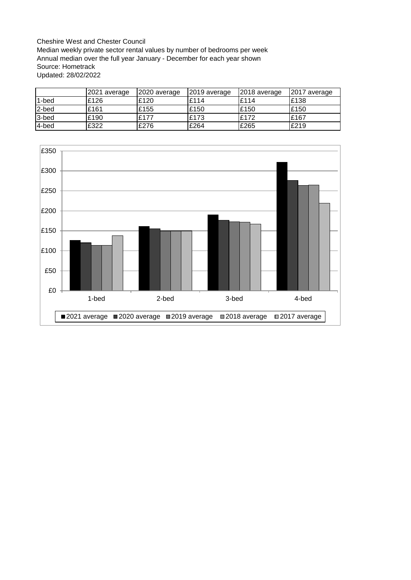Cheshire West and Chester Council Median weekly private sector rental values by number of bedrooms per week Annual median over the full year January - December for each year shown Source: Hometrack Updated: 28/02/2022

|       | 2021 average | 2020 average | 2019 average | 2018 average | 2017 average |
|-------|--------------|--------------|--------------|--------------|--------------|
| 1-bed | £126         | £120         | £114         | £114         | £138         |
| 2-bed | £161         | £155         | £150         | £150         | £150         |
| 3-bed | £190         | £177         | £173         | £172         | £167         |
| 4-bed | £322         | £276         | £264         | £265         | £219         |

![](_page_15_Figure_2.jpeg)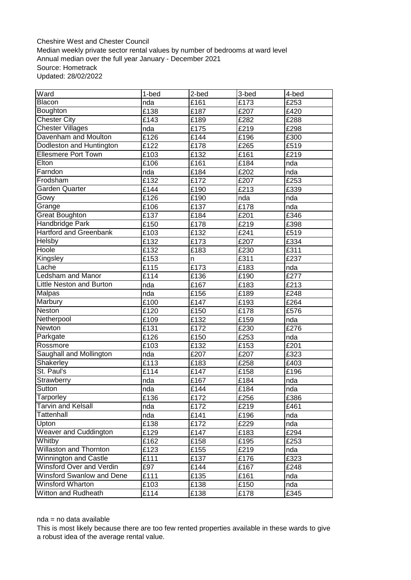Cheshire West and Chester Council Median weekly private sector rental values by number of bedrooms at ward level Annual median over the full year January - December 2021 Source: Hometrack Updated: 28/02/2022

| Ward                            | 1-bed              | 2-bed | 3-bed              | 4-bed             |
|---------------------------------|--------------------|-------|--------------------|-------------------|
| Blacon                          | nda                | £161  | $\overline{£}$ 173 | $\overline{2}$ 53 |
| Boughton                        | £138               | £187  | £207               | £420              |
| <b>Chester City</b>             | $\overline{£}$ 143 | £189  | £282               | £288              |
| <b>Chester Villages</b>         | nda                | £175  | £219               | £298              |
| Davenham and Moulton            | £126               | £144  | £196               | £300              |
| Dodleston and Huntington        | £122               | £178  | £265               | £519              |
| <b>Ellesmere Port Town</b>      | £103               | £132  | £161               | £219              |
| Elton                           | £106               | £161  | £184               | nda               |
| Farndon                         | nda                | £184  | £202               | nda               |
| Frodsham                        | £132               | £172  | £207               | £253              |
| <b>Garden Quarter</b>           | £144               | £190  | £213               | £339              |
| Gowy                            | £126               | £190  | nda                | nda               |
| Grange                          | £106               | £137  | £178               | nda               |
| <b>Great Boughton</b>           | £137               | £184  | £201               | £346              |
| Handbridge Park                 | £150               | £178  | £219               | £398              |
| <b>Hartford and Greenbank</b>   | £103               | £132  | £241               | £519              |
| <b>Helsby</b>                   | £132               | £173  | £207               | £334              |
| Hoole                           | £132               | £183  | £230               | £311              |
| Kingsley                        | £153               | n     | £311               | £237              |
| Lache                           | £115               | £173  | £183               | nda               |
| <b>Ledsham and Manor</b>        | $\overline{£}$ 114 | £136  | £190               | £277              |
| <b>Little Neston and Burton</b> | nda                | £167  | £183               | £213              |
| <b>Malpas</b>                   | nda                | £156  | £189               | £248              |
| Marbury                         | £100               | £147  | £193               | £264              |
| Neston                          | £120               | £150  | £178               | £576              |
| Netherpool                      | £109               | £132  | £159               | nda               |
| Newton                          | £131               | £172  | £230               | £276              |
| Parkgate                        | £126               | £150  | £253               | nda               |
| Rossmore                        | £103               | £132  | £153               | £201              |
| Saughall and Mollington         | nda                | £207  | £207               | £323              |
| Shakerley                       | $\overline{£}$ 13  | £183  | £258               | £403              |
| St. Paul's                      | $\overline{£}114$  | £147  | £158               | £196              |
| Strawberry                      | nda                | £167  | £184               | nda               |
| Sutton                          | nda                | £144  | £184               | nda               |
| Tarporley                       | £136               | £172  | £256               | £386              |
| <b>Tarvin and Kelsall</b>       | nda                | £172  | £219               | £461              |
| Tattenhall                      | nda                | £141  | £196               | nda               |
| Upton                           | £138               | £172  | £229               | nda               |
| <b>Weaver and Cuddington</b>    | £129               | £147  | £183               | £294              |
| Whitby                          | £162               | £158  | £195               | £253              |
| <b>Willaston and Thornton</b>   | £123               | £155  | £219               | nda               |
| <b>Winnington and Castle</b>    | $\overline{£}$ 111 | £137  | £176               | £323              |
| Winsford Over and Verdin        | £97                | £144  | £167               | £248              |
| Winsford Swanlow and Dene       | £111               | £135  | £161               | nda               |
| Winsford Wharton                | £103               | £138  | £150               | nda               |
| Witton and Rudheath             | £114               | £138  | £178               | £345              |

nda = no data available

This is most likely because there are too few rented properties available in these wards to give a robust idea of the average rental value.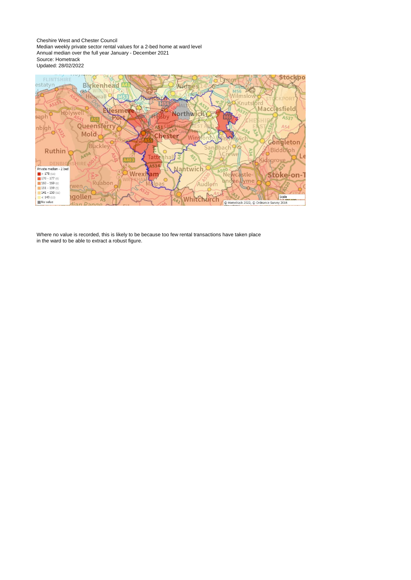Cheshire West and Chester Council Median weekly private sector rental values for a 2-bed home at ward level Annual median over the full year January - December 2021 Source: Hometrack Updated: 28/02/2022

![](_page_17_Figure_1.jpeg)

Where no value is recorded, this is likely to be because too few rental transactions have taken place in the ward to be able to extract a robust figure.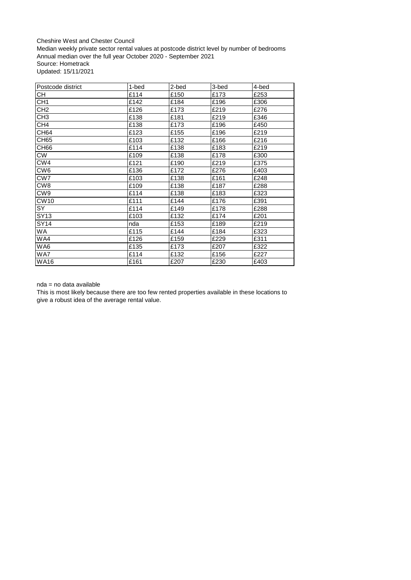Cheshire West and Chester Council Median weekly private sector rental values at postcode district level by number of bedrooms Annual median over the full year October 2020 - September 2021 Source: Hometrack Updated: 15/11/2021

| Postcode district | 1-bed | 2-bed | 3-bed | 4-bed |
|-------------------|-------|-------|-------|-------|
| CН                | £114  | £150  | £173  | £253  |
| CH1               | £142  | £184  | £196  | £306  |
| CH <sub>2</sub>   | £126  | £173  | £219  | £276  |
| CH <sub>3</sub>   | £138  | £181  | £219  | £346  |
| CH4               | £138  | £173  | £196  | £450  |
| <b>CH64</b>       | £123  | £155  | £196  | £219  |
| CH65              | £103  | £132  | £166  | £216  |
| CH66              | £114  | £138  | £183  | £219  |
| СW                | £109  | £138  | £178  | £300  |
| CW4               | £121  | £190  | £219  | £375  |
| CW6               | £136  | £172  | £276  | £403  |
| CW7               | £103  | £138  | £161  | £248  |
| CW <sub>8</sub>   | £109  | £138  | £187  | £288  |
| CW <sub>9</sub>   | £114  | £138  | £183  | £323  |
| CW <sub>10</sub>  | £111  | £144  | £176  | £391  |
| SY                | £114  | £149  | £178  | £288  |
| SY13              | £103  | £132  | £174  | £201  |
| SY14              | nda   | £153  | £189  | £219  |
| WA.               | £115  | £144  | £184  | £323  |
| WA4               | £126  | £159  | £229  | £311  |
| WA6               | £135  | £173  | £207  | £322  |
| WA7               | £114  | £132  | £156  | £227  |
| <b>WA16</b>       | £161  | £207  | £230  | £403  |

nda = no data available

This is most likely because there are too few rented properties available in these locations to give a robust idea of the average rental value.